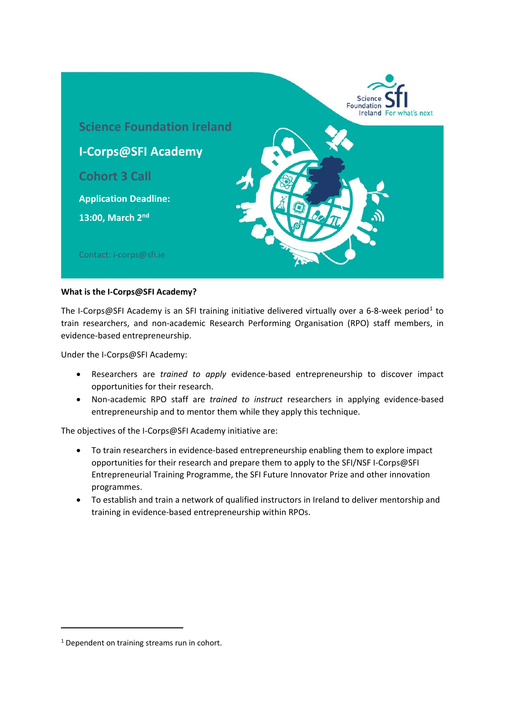

### **What is the I-Corps@SFI Academy?**

The I-Corps@SFI Academy is an SFI training initiative delivered virtually over a 6-8-week period<sup>[1](#page-0-0)</sup> to train researchers, and non-academic Research Performing Organisation (RPO) staff members, in evidence-based entrepreneurship.

Under the I-Corps@SFI Academy:

- Researchers are *trained to apply* evidence-based entrepreneurship to discover impact opportunities for their research.
- Non-academic RPO staff are *trained to instruct* researchers in applying evidence-based entrepreneurship and to mentor them while they apply this technique.

The objectives of the I-Corps@SFI Academy initiative are:

- To train researchers in evidence-based entrepreneurship enabling them to explore impact opportunities for their research and prepare them to apply to the SFI/NSF I-Corps@SFI Entrepreneurial Training Programme, the SFI Future Innovator Prize and other innovation programmes.
- To establish and train a network of qualified instructors in Ireland to deliver mentorship and training in evidence-based entrepreneurship within RPOs.

<span id="page-0-0"></span> $1$  Dependent on training streams run in cohort.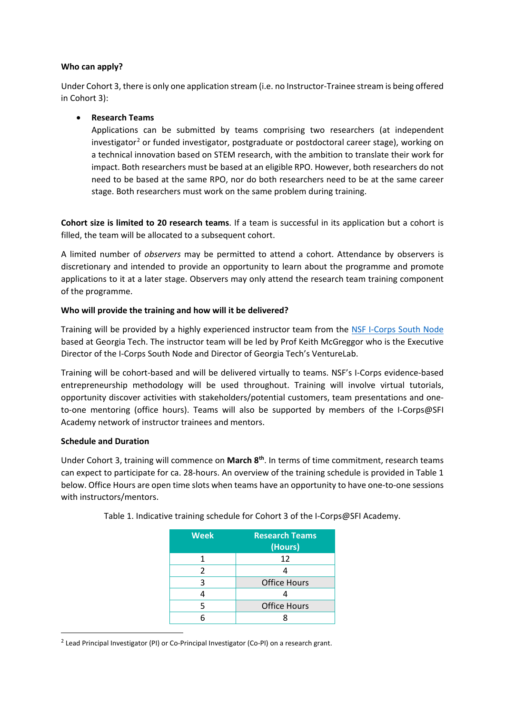## **Who can apply?**

Under Cohort 3, there is only one application stream (i.e. no Instructor-Trainee stream is being offered in Cohort 3):

• **Research Teams**

Applications can be submitted by teams comprising two researchers (at independent investigator<sup>[2](#page-1-0)</sup> or funded investigator, postgraduate or postdoctoral career stage), working on a technical innovation based on STEM research, with the ambition to translate their work for impact. Both researchers must be based at an eligible RPO. However, both researchers do not need to be based at the same RPO, nor do both researchers need to be at the same career stage. Both researchers must work on the same problem during training.

**Cohort size is limited to 20 research teams**. If a team is successful in its application but a cohort is filled, the team will be allocated to a subsequent cohort.

A limited number of *observers* may be permitted to attend a cohort. Attendance by observers is discretionary and intended to provide an opportunity to learn about the programme and promote applications to it at a later stage. Observers may only attend the research team training component of the programme.

## **Who will provide the training and how will it be delivered?**

Training will be provided by a highly experienced instructor team from the [NSF I-Corps South Node](https://www.icorpssouth.com/) based at Georgia Tech. The instructor team will be led by Prof Keith McGreggor who is the Executive Director of the I-Corps South Node and Director of Georgia Tech's VentureLab.

Training will be cohort-based and will be delivered virtually to teams. NSF's I-Corps evidence-based entrepreneurship methodology will be used throughout. Training will involve virtual tutorials, opportunity discover activities with stakeholders/potential customers, team presentations and oneto-one mentoring (office hours). Teams will also be supported by members of the I-Corps@SFI Academy network of instructor trainees and mentors.

### **Schedule and Duration**

Under Cohort 3, training will commence on **March 8th**. In terms of time commitment, research teams can expect to participate for ca. 28-hours. An overview of the training schedule is provided in Table 1 below. Office Hours are open time slots when teams have an opportunity to have one-to-one sessions with instructors/mentors.

| <b>Week</b> | <b>Research Teams</b><br>(Hours) |
|-------------|----------------------------------|
|             | 12                               |
| 2           | 4                                |
| 3           | <b>Office Hours</b>              |
|             |                                  |
| 5           | <b>Office Hours</b>              |
|             |                                  |

Table 1. Indicative training schedule for Cohort 3 of the I-Corps@SFI Academy.

<span id="page-1-0"></span> $2$  Lead Principal Investigator (PI) or Co-Principal Investigator (Co-PI) on a research grant.